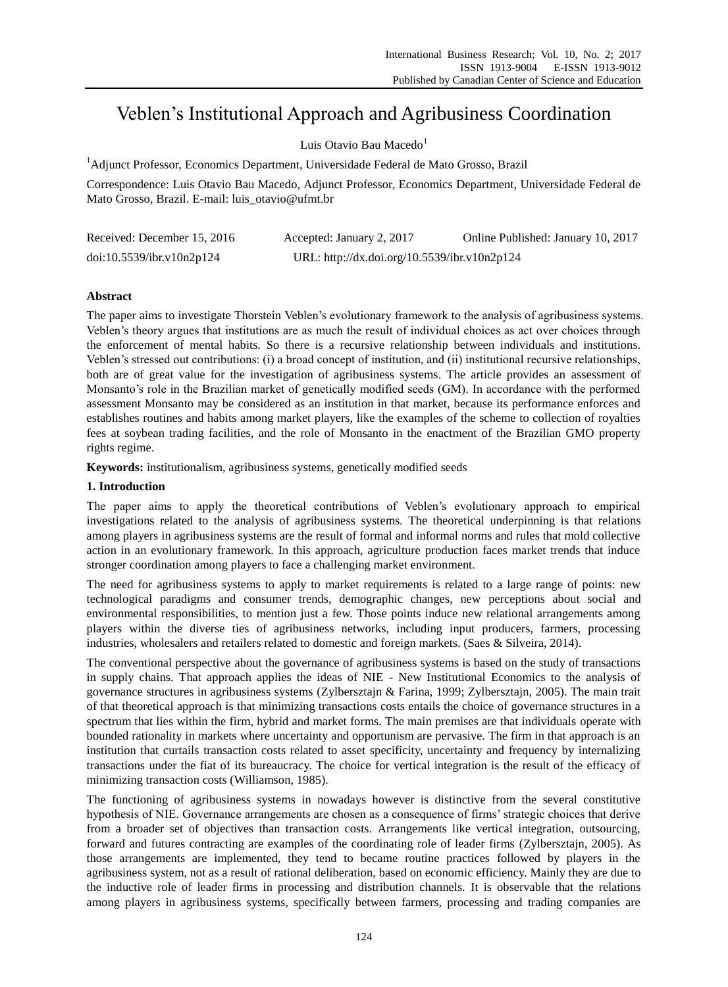# Veblen"s Institutional Approach and Agribusiness Coordination

Luis Otavio Bau Macedo<sup>1</sup>

<sup>1</sup>Adjunct Professor, Economics Department, Universidade Federal de Mato Grosso, Brazil

Correspondence: Luis Otavio Bau Macedo, Adjunct Professor, Economics Department, Universidade Federal de Mato Grosso, Brazil. E-mail: luis\_otavio@ufmt.br

| Received: December 15, 2016 | Accepted: January 2, 2017                    | Online Published: January 10, 2017 |
|-----------------------------|----------------------------------------------|------------------------------------|
| doi:10.5539/ibr.v10n2p124   | URL: http://dx.doi.org/10.5539/ibr.v10n2p124 |                                    |

# **Abstract**

The paper aims to investigate Thorstein Veblen"s evolutionary framework to the analysis of agribusiness systems. Veblen"s theory argues that institutions are as much the result of individual choices as act over choices through the enforcement of mental habits. So there is a recursive relationship between individuals and institutions. Veblen"s stressed out contributions: (i) a broad concept of institution, and (ii) institutional recursive relationships, both are of great value for the investigation of agribusiness systems. The article provides an assessment of Monsanto's role in the Brazilian market of genetically modified seeds (GM). In accordance with the performed assessment Monsanto may be considered as an institution in that market, because its performance enforces and establishes routines and habits among market players, like the examples of the scheme to collection of royalties fees at soybean trading facilities, and the role of Monsanto in the enactment of the Brazilian GMO property rights regime.

**Keywords:** institutionalism, agribusiness systems, genetically modified seeds

# **1. Introduction**

The paper aims to apply the theoretical contributions of Veblen"s evolutionary approach to empirical investigations related to the analysis of agribusiness systems. The theoretical underpinning is that relations among players in agribusiness systems are the result of formal and informal norms and rules that mold collective action in an evolutionary framework. In this approach, agriculture production faces market trends that induce stronger coordination among players to face a challenging market environment.

The need for agribusiness systems to apply to market requirements is related to a large range of points: new technological paradigms and consumer trends, demographic changes, new perceptions about social and environmental responsibilities, to mention just a few. Those points induce new relational arrangements among players within the diverse ties of agribusiness networks, including input producers, farmers, processing industries, wholesalers and retailers related to domestic and foreign markets. (Saes & Silveira, 2014).

The conventional perspective about the governance of agribusiness systems is based on the study of transactions in supply chains. That approach applies the ideas of NIE - New Institutional Economics to the analysis of governance structures in agribusiness systems (Zylbersztajn & Farina, 1999; Zylbersztajn, 2005). The main trait of that theoretical approach is that minimizing transactions costs entails the choice of governance structures in a spectrum that lies within the firm, hybrid and market forms. The main premises are that individuals operate with bounded rationality in markets where uncertainty and opportunism are pervasive. The firm in that approach is an institution that curtails transaction costs related to asset specificity, uncertainty and frequency by internalizing transactions under the fiat of its bureaucracy. The choice for vertical integration is the result of the efficacy of minimizing transaction costs (Williamson, 1985).

The functioning of agribusiness systems in nowadays however is distinctive from the several constitutive hypothesis of NIE. Governance arrangements are chosen as a consequence of firms" strategic choices that derive from a broader set of objectives than transaction costs. Arrangements like vertical integration, outsourcing, forward and futures contracting are examples of the coordinating role of leader firms (Zylbersztajn, 2005). As those arrangements are implemented, they tend to became routine practices followed by players in the agribusiness system, not as a result of rational deliberation, based on economic efficiency. Mainly they are due to the inductive role of leader firms in processing and distribution channels. It is observable that the relations among players in agribusiness systems, specifically between farmers, processing and trading companies are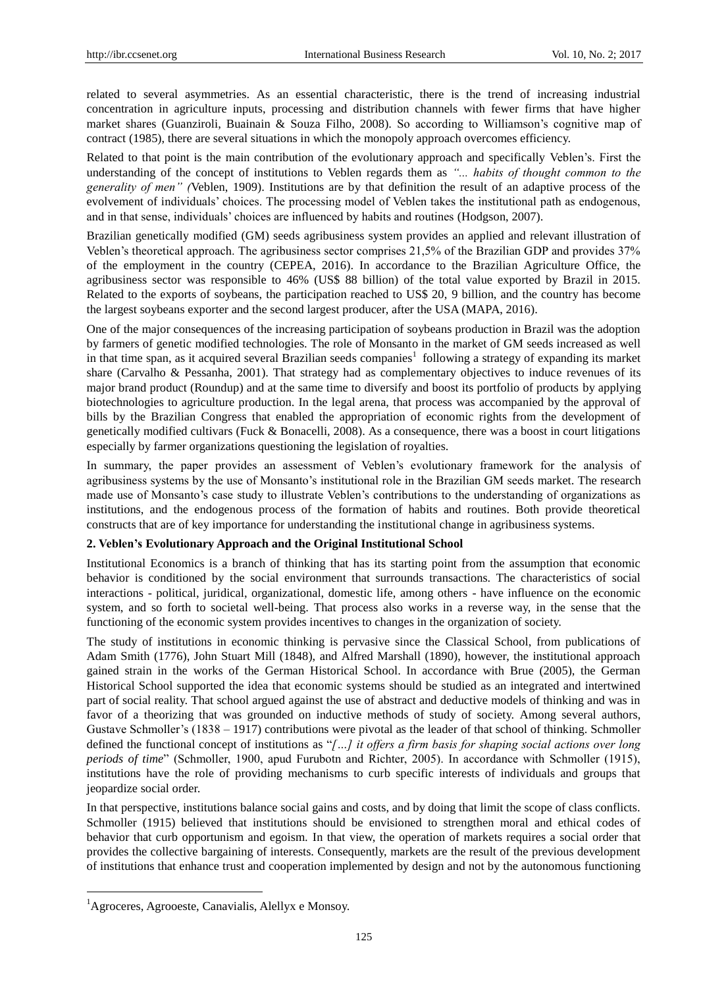related to several asymmetries. As an essential characteristic, there is the trend of increasing industrial concentration in agriculture inputs, processing and distribution channels with fewer firms that have higher market shares (Guanziroli, Buainain & Souza Filho, 2008). So according to Williamson"s cognitive map of contract (1985), there are several situations in which the monopoly approach overcomes efficiency.

Related to that point is the main contribution of the evolutionary approach and specifically Veblen"s. First the understanding of the concept of institutions to Veblen regards them as *"... habits of thought common to the generality of men" (*Veblen, 1909). Institutions are by that definition the result of an adaptive process of the evolvement of individuals" choices. The processing model of Veblen takes the institutional path as endogenous, and in that sense, individuals" choices are influenced by habits and routines (Hodgson, 2007).

Brazilian genetically modified (GM) seeds agribusiness system provides an applied and relevant illustration of Veblen"s theoretical approach. The agribusiness sector comprises 21,5% of the Brazilian GDP and provides 37% of the employment in the country (CEPEA, 2016). In accordance to the Brazilian Agriculture Office, the agribusiness sector was responsible to 46% (US\$ 88 billion) of the total value exported by Brazil in 2015. Related to the exports of soybeans, the participation reached to US\$ 20, 9 billion, and the country has become the largest soybeans exporter and the second largest producer, after the USA (MAPA, 2016).

One of the major consequences of the increasing participation of soybeans production in Brazil was the adoption by farmers of genetic modified technologies. The role of Monsanto in the market of GM seeds increased as well in that time span, as it acquired several Brazilian seeds companies<sup>1</sup> following a strategy of expanding its market share (Carvalho & Pessanha, 2001). That strategy had as complementary objectives to induce revenues of its major brand product (Roundup) and at the same time to diversify and boost its portfolio of products by applying biotechnologies to agriculture production. In the legal arena, that process was accompanied by the approval of bills by the Brazilian Congress that enabled the appropriation of economic rights from the development of genetically modified cultivars (Fuck & Bonacelli, 2008). As a consequence, there was a boost in court litigations especially by farmer organizations questioning the legislation of royalties.

In summary, the paper provides an assessment of Veblen's evolutionary framework for the analysis of agribusiness systems by the use of Monsanto's institutional role in the Brazilian GM seeds market. The research made use of Monsanto's case study to illustrate Veblen's contributions to the understanding of organizations as institutions, and the endogenous process of the formation of habits and routines. Both provide theoretical constructs that are of key importance for understanding the institutional change in agribusiness systems.

## **2. Veblen's Evolutionary Approach and the Original Institutional School**

Institutional Economics is a branch of thinking that has its starting point from the assumption that economic behavior is conditioned by the social environment that surrounds transactions. The characteristics of social interactions - political, juridical, organizational, domestic life, among others - have influence on the economic system, and so forth to societal well-being. That process also works in a reverse way, in the sense that the functioning of the economic system provides incentives to changes in the organization of society.

The study of institutions in economic thinking is pervasive since the Classical School, from publications of Adam Smith (1776), John Stuart Mill (1848), and Alfred Marshall (1890), however, the institutional approach gained strain in the works of the German Historical School. In accordance with Brue (2005), the German Historical School supported the idea that economic systems should be studied as an integrated and intertwined part of social reality. That school argued against the use of abstract and deductive models of thinking and was in favor of a theorizing that was grounded on inductive methods of study of society. Among several authors, Gustave Schmoller's (1838 – 1917) contributions were pivotal as the leader of that school of thinking. Schmoller defined the functional concept of institutions as "*[…] it offers a firm basis for shaping social actions over long periods of time*" (Schmoller, 1900, apud Furubotn and Richter, 2005). In accordance with Schmoller (1915), institutions have the role of providing mechanisms to curb specific interests of individuals and groups that jeopardize social order.

In that perspective, institutions balance social gains and costs, and by doing that limit the scope of class conflicts. Schmoller (1915) believed that institutions should be envisioned to strengthen moral and ethical codes of behavior that curb opportunism and egoism. In that view, the operation of markets requires a social order that provides the collective bargaining of interests. Consequently, markets are the result of the previous development of institutions that enhance trust and cooperation implemented by design and not by the autonomous functioning

l

<sup>&</sup>lt;sup>1</sup>Agroceres, Agrooeste, Canavialis, Alellyx e Monsoy.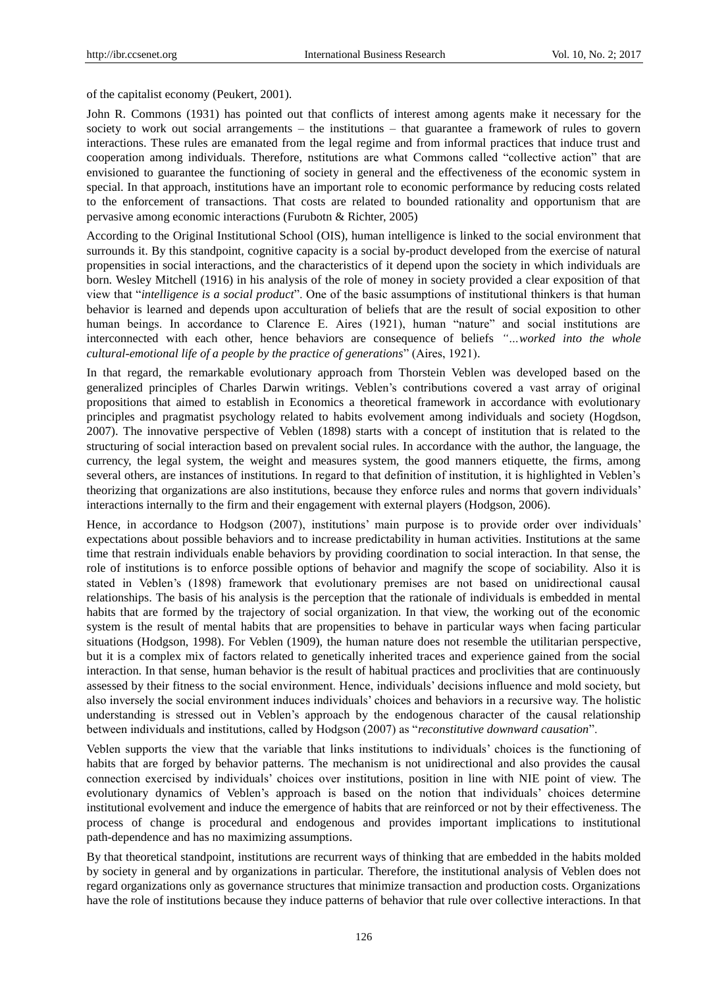of the capitalist economy (Peukert, 2001).

John R. Commons (1931) has pointed out that conflicts of interest among agents make it necessary for the society to work out social arrangements – the institutions – that guarantee a framework of rules to govern interactions. These rules are emanated from the legal regime and from informal practices that induce trust and cooperation among individuals. Therefore, nstitutions are what Commons called "collective action" that are envisioned to guarantee the functioning of society in general and the effectiveness of the economic system in special. In that approach, institutions have an important role to economic performance by reducing costs related to the enforcement of transactions. That costs are related to bounded rationality and opportunism that are pervasive among economic interactions (Furubotn & Richter, 2005)

According to the Original Institutional School (OIS), human intelligence is linked to the social environment that surrounds it. By this standpoint, cognitive capacity is a social by-product developed from the exercise of natural propensities in social interactions, and the characteristics of it depend upon the society in which individuals are born. Wesley Mitchell (1916) in his analysis of the role of money in society provided a clear exposition of that view that "*intelligence is a social product*". One of the basic assumptions of institutional thinkers is that human behavior is learned and depends upon acculturation of beliefs that are the result of social exposition to other human beings. In accordance to Clarence E. Aires (1921), human "nature" and social institutions are interconnected with each other, hence behaviors are consequence of beliefs *"…worked into the whole cultural-emotional life of a people by the practice of generations*" (Aires, 1921).

In that regard, the remarkable evolutionary approach from Thorstein Veblen was developed based on the generalized principles of Charles Darwin writings. Veblen"s contributions covered a vast array of original propositions that aimed to establish in Economics a theoretical framework in accordance with evolutionary principles and pragmatist psychology related to habits evolvement among individuals and society (Hogdson, 2007). The innovative perspective of Veblen (1898) starts with a concept of institution that is related to the structuring of social interaction based on prevalent social rules. In accordance with the author, the language, the currency, the legal system, the weight and measures system, the good manners etiquette, the firms, among several others, are instances of institutions. In regard to that definition of institution, it is highlighted in Veblen"s theorizing that organizations are also institutions, because they enforce rules and norms that govern individuals" interactions internally to the firm and their engagement with external players (Hodgson, 2006).

Hence, in accordance to Hodgson (2007), institutions' main purpose is to provide order over individuals' expectations about possible behaviors and to increase predictability in human activities. Institutions at the same time that restrain individuals enable behaviors by providing coordination to social interaction. In that sense, the role of institutions is to enforce possible options of behavior and magnify the scope of sociability. Also it is stated in Veblen"s (1898) framework that evolutionary premises are not based on unidirectional causal relationships. The basis of his analysis is the perception that the rationale of individuals is embedded in mental habits that are formed by the trajectory of social organization. In that view, the working out of the economic system is the result of mental habits that are propensities to behave in particular ways when facing particular situations (Hodgson, 1998). For Veblen (1909), the human nature does not resemble the utilitarian perspective, but it is a complex mix of factors related to genetically inherited traces and experience gained from the social interaction. In that sense, human behavior is the result of habitual practices and proclivities that are continuously assessed by their fitness to the social environment. Hence, individuals" decisions influence and mold society, but also inversely the social environment induces individuals" choices and behaviors in a recursive way. The holistic understanding is stressed out in Veblen"s approach by the endogenous character of the causal relationship between individuals and institutions, called by Hodgson (2007) as "*reconstitutive downward causation*".

Veblen supports the view that the variable that links institutions to individuals" choices is the functioning of habits that are forged by behavior patterns. The mechanism is not unidirectional and also provides the causal connection exercised by individuals" choices over institutions, position in line with NIE point of view. The evolutionary dynamics of Veblen"s approach is based on the notion that individuals" choices determine institutional evolvement and induce the emergence of habits that are reinforced or not by their effectiveness. The process of change is procedural and endogenous and provides important implications to institutional path-dependence and has no maximizing assumptions.

By that theoretical standpoint, institutions are recurrent ways of thinking that are embedded in the habits molded by society in general and by organizations in particular. Therefore, the institutional analysis of Veblen does not regard organizations only as governance structures that minimize transaction and production costs. Organizations have the role of institutions because they induce patterns of behavior that rule over collective interactions. In that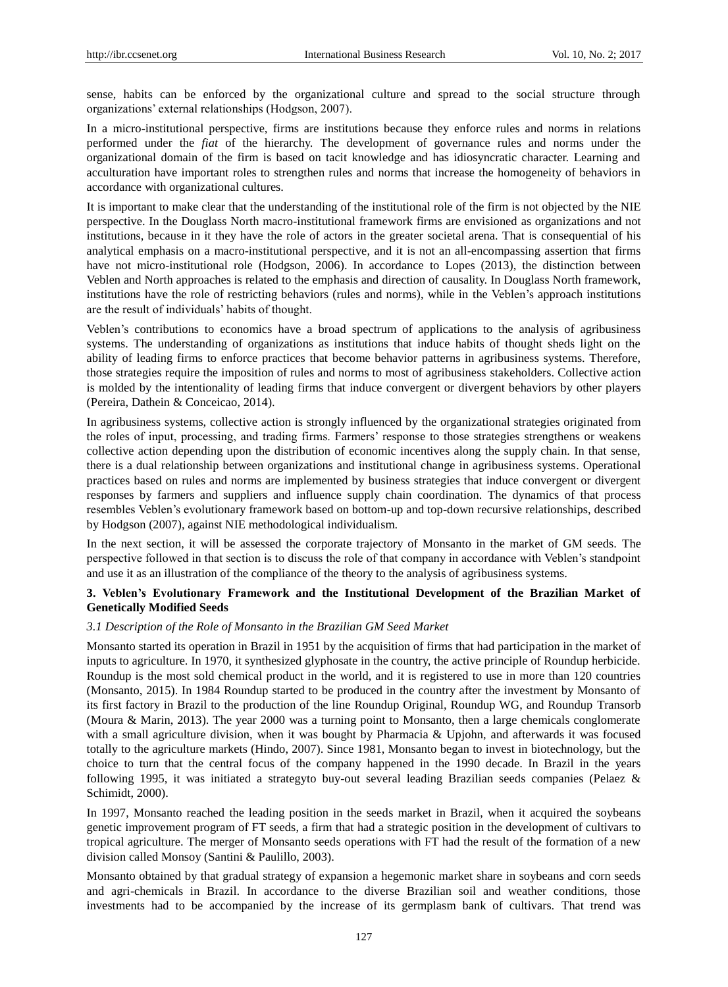sense, habits can be enforced by the organizational culture and spread to the social structure through organizations" external relationships (Hodgson, 2007).

In a micro-institutional perspective, firms are institutions because they enforce rules and norms in relations performed under the *fiat* of the hierarchy. The development of governance rules and norms under the organizational domain of the firm is based on tacit knowledge and has idiosyncratic character. Learning and acculturation have important roles to strengthen rules and norms that increase the homogeneity of behaviors in accordance with organizational cultures.

It is important to make clear that the understanding of the institutional role of the firm is not objected by the NIE perspective. In the Douglass North macro-institutional framework firms are envisioned as organizations and not institutions, because in it they have the role of actors in the greater societal arena. That is consequential of his analytical emphasis on a macro-institutional perspective, and it is not an all-encompassing assertion that firms have not micro-institutional role (Hodgson, 2006). In accordance to Lopes (2013), the distinction between Veblen and North approaches is related to the emphasis and direction of causality. In Douglass North framework, institutions have the role of restricting behaviors (rules and norms), while in the Veblen"s approach institutions are the result of individuals" habits of thought.

Veblen"s contributions to economics have a broad spectrum of applications to the analysis of agribusiness systems. The understanding of organizations as institutions that induce habits of thought sheds light on the ability of leading firms to enforce practices that become behavior patterns in agribusiness systems. Therefore, those strategies require the imposition of rules and norms to most of agribusiness stakeholders. Collective action is molded by the intentionality of leading firms that induce convergent or divergent behaviors by other players (Pereira, Dathein & Conceicao, 2014).

In agribusiness systems, collective action is strongly influenced by the organizational strategies originated from the roles of input, processing, and trading firms. Farmers" response to those strategies strengthens or weakens collective action depending upon the distribution of economic incentives along the supply chain. In that sense, there is a dual relationship between organizations and institutional change in agribusiness systems. Operational practices based on rules and norms are implemented by business strategies that induce convergent or divergent responses by farmers and suppliers and influence supply chain coordination. The dynamics of that process resembles Veblen"s evolutionary framework based on bottom-up and top-down recursive relationships, described by Hodgson (2007), against NIE methodological individualism.

In the next section, it will be assessed the corporate trajectory of Monsanto in the market of GM seeds. The perspective followed in that section is to discuss the role of that company in accordance with Veblen"s standpoint and use it as an illustration of the compliance of the theory to the analysis of agribusiness systems.

## **3. Veblen's Evolutionary Framework and the Institutional Development of the Brazilian Market of Genetically Modified Seeds**

#### *3.1 Description of the Role of Monsanto in the Brazilian GM Seed Market*

Monsanto started its operation in Brazil in 1951 by the acquisition of firms that had participation in the market of inputs to agriculture. In 1970, it synthesized glyphosate in the country, the active principle of Roundup herbicide. Roundup is the most sold chemical product in the world, and it is registered to use in more than 120 countries (Monsanto, 2015). In 1984 Roundup started to be produced in the country after the investment by Monsanto of its first factory in Brazil to the production of the line Roundup Original, Roundup WG, and Roundup Transorb (Moura & Marin, 2013). The year 2000 was a turning point to Monsanto, then a large chemicals conglomerate with a small agriculture division, when it was bought by Pharmacia & Upjohn, and afterwards it was focused totally to the agriculture markets (Hindo, 2007). Since 1981, Monsanto began to invest in biotechnology, but the choice to turn that the central focus of the company happened in the 1990 decade. In Brazil in the years following 1995, it was initiated a strategyto buy-out several leading Brazilian seeds companies (Pelaez & Schimidt, 2000).

In 1997, Monsanto reached the leading position in the seeds market in Brazil, when it acquired the soybeans genetic improvement program of FT seeds, a firm that had a strategic position in the development of cultivars to tropical agriculture. The merger of Monsanto seeds operations with FT had the result of the formation of a new division called Monsoy (Santini & Paulillo, 2003).

Monsanto obtained by that gradual strategy of expansion a hegemonic market share in soybeans and corn seeds and agri-chemicals in Brazil. In accordance to the diverse Brazilian soil and weather conditions, those investments had to be accompanied by the increase of its germplasm bank of cultivars. That trend was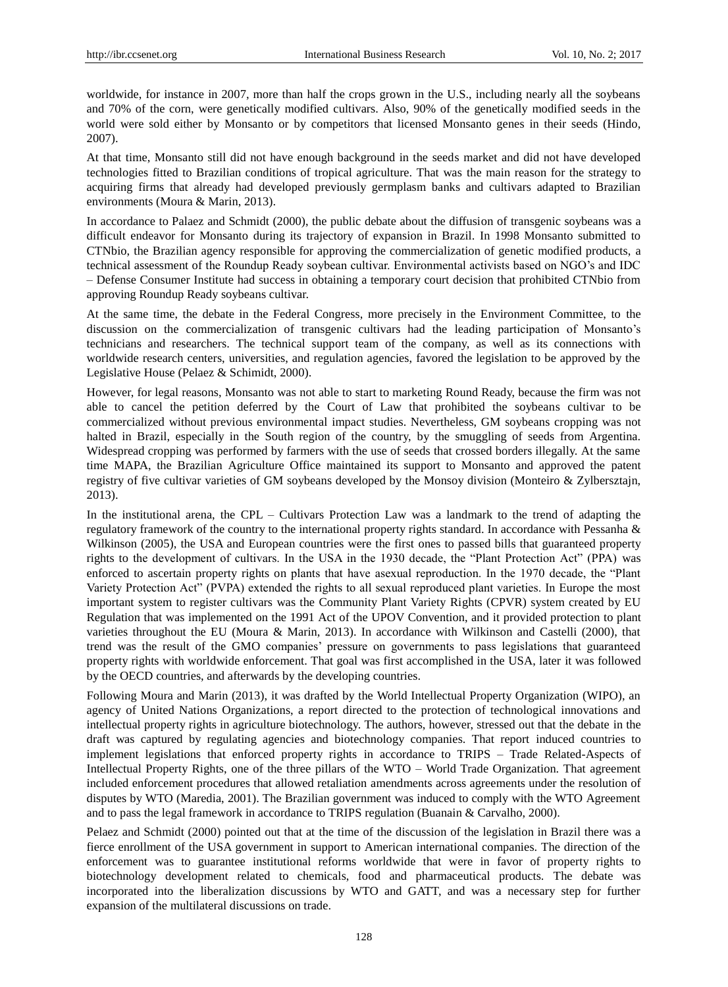worldwide, for instance in 2007, more than half the crops grown in the U.S., including nearly all the soybeans and 70% of the corn, were genetically modified cultivars. Also, 90% of the genetically modified seeds in the world were sold either by Monsanto or by competitors that licensed Monsanto genes in their seeds (Hindo, 2007).

At that time, Monsanto still did not have enough background in the seeds market and did not have developed technologies fitted to Brazilian conditions of tropical agriculture. That was the main reason for the strategy to acquiring firms that already had developed previously germplasm banks and cultivars adapted to Brazilian environments (Moura & Marin, 2013).

In accordance to Palaez and Schmidt (2000), the public debate about the diffusion of transgenic soybeans was a difficult endeavor for Monsanto during its trajectory of expansion in Brazil. In 1998 Monsanto submitted to CTNbio, the Brazilian agency responsible for approving the commercialization of genetic modified products, a technical assessment of the Roundup Ready soybean cultivar. Environmental activists based on NGO"s and IDC – Defense Consumer Institute had success in obtaining a temporary court decision that prohibited CTNbio from approving Roundup Ready soybeans cultivar.

At the same time, the debate in the Federal Congress, more precisely in the Environment Committee, to the discussion on the commercialization of transgenic cultivars had the leading participation of Monsanto"s technicians and researchers. The technical support team of the company, as well as its connections with worldwide research centers, universities, and regulation agencies, favored the legislation to be approved by the Legislative House (Pelaez & Schimidt, 2000).

However, for legal reasons, Monsanto was not able to start to marketing Round Ready, because the firm was not able to cancel the petition deferred by the Court of Law that prohibited the soybeans cultivar to be commercialized without previous environmental impact studies. Nevertheless, GM soybeans cropping was not halted in Brazil, especially in the South region of the country, by the smuggling of seeds from Argentina. Widespread cropping was performed by farmers with the use of seeds that crossed borders illegally. At the same time MAPA, the Brazilian Agriculture Office maintained its support to Monsanto and approved the patent registry of five cultivar varieties of GM soybeans developed by the Monsoy division (Monteiro & Zylbersztajn, 2013).

In the institutional arena, the CPL – Cultivars Protection Law was a landmark to the trend of adapting the regulatory framework of the country to the international property rights standard. In accordance with Pessanha & Wilkinson (2005), the USA and European countries were the first ones to passed bills that guaranteed property rights to the development of cultivars. In the USA in the 1930 decade, the "Plant Protection Act" (PPA) was enforced to ascertain property rights on plants that have asexual reproduction. In the 1970 decade, the "Plant Variety Protection Act" (PVPA) extended the rights to all sexual reproduced plant varieties. In Europe the most important system to register cultivars was the Community Plant Variety Rights (CPVR) system created by EU Regulation that was implemented on the 1991 Act of the UPOV Convention, and it provided protection to plant varieties throughout the EU (Moura & Marin, 2013). In accordance with Wilkinson and Castelli (2000), that trend was the result of the GMO companies" pressure on governments to pass legislations that guaranteed property rights with worldwide enforcement. That goal was first accomplished in the USA, later it was followed by the OECD countries, and afterwards by the developing countries.

Following Moura and Marin (2013), it was drafted by the World Intellectual Property Organization (WIPO), an agency of United Nations Organizations, a report directed to the protection of technological innovations and intellectual property rights in agriculture biotechnology. The authors, however, stressed out that the debate in the draft was captured by regulating agencies and biotechnology companies. That report induced countries to implement legislations that enforced property rights in accordance to TRIPS – Trade Related-Aspects of Intellectual Property Rights, one of the three pillars of the WTO – World Trade Organization. That agreement included enforcement procedures that allowed retaliation amendments across agreements under the resolution of disputes by WTO (Maredia, 2001). The Brazilian government was induced to comply with the WTO Agreement and to pass the legal framework in accordance to TRIPS regulation (Buanain & Carvalho, 2000).

Pelaez and Schmidt (2000) pointed out that at the time of the discussion of the legislation in Brazil there was a fierce enrollment of the USA government in support to American international companies. The direction of the enforcement was to guarantee institutional reforms worldwide that were in favor of property rights to biotechnology development related to chemicals, food and pharmaceutical products. The debate was incorporated into the liberalization discussions by WTO and GATT, and was a necessary step for further expansion of the multilateral discussions on trade.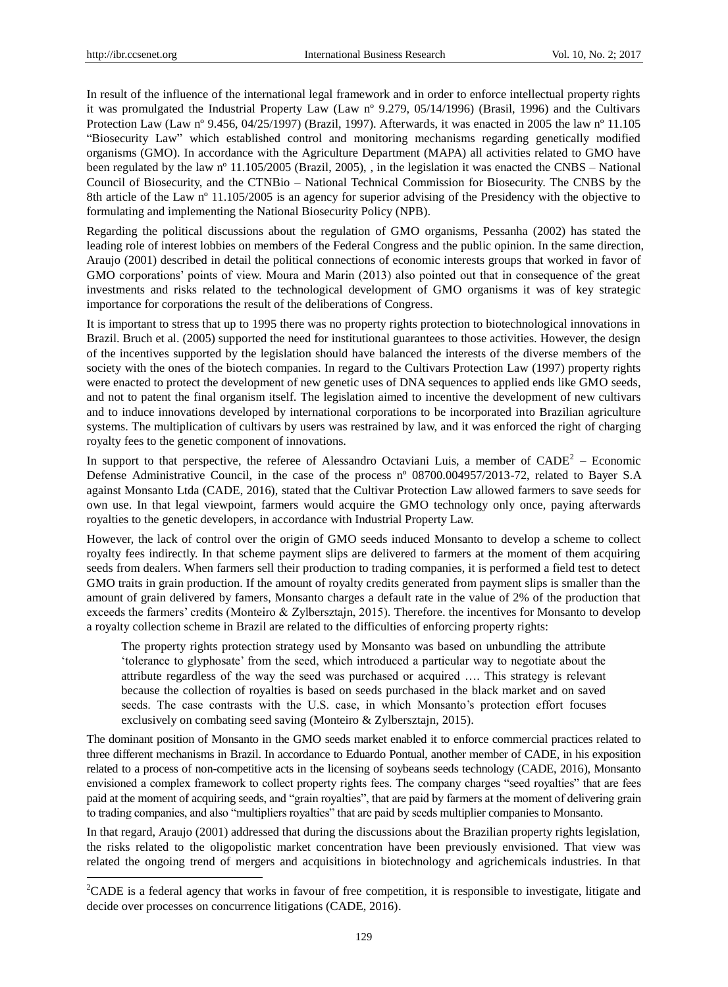l

In result of the influence of the international legal framework and in order to enforce intellectual property rights it was promulgated the Industrial Property Law (Law nº 9.279, 05/14/1996) (Brasil, 1996) and the Cultivars Protection Law (Law n°9.456, 04/25/1997) (Brazil, 1997). Afterwards, it was enacted in 2005 the law n°11.105 "Biosecurity Law" which established control and monitoring mechanisms regarding genetically modified organisms (GMO). In accordance with the Agriculture Department (MAPA) all activities related to GMO have been regulated by the law nº 11.105/2005 (Brazil, 2005), , in the legislation it was enacted the CNBS – National Council of Biosecurity, and the CTNBio – National Technical Commission for Biosecurity. The CNBS by the 8th article of the Law n<sup>o</sup> 11.105/2005 is an agency for superior advising of the Presidency with the objective to formulating and implementing the National Biosecurity Policy (NPB).

Regarding the political discussions about the regulation of GMO organisms, Pessanha (2002) has stated the leading role of interest lobbies on members of the Federal Congress and the public opinion. In the same direction, Araujo (2001) described in detail the political connections of economic interests groups that worked in favor of GMO corporations" points of view. Moura and Marin (2013) also pointed out that in consequence of the great investments and risks related to the technological development of GMO organisms it was of key strategic importance for corporations the result of the deliberations of Congress.

It is important to stress that up to 1995 there was no property rights protection to biotechnological innovations in Brazil. Bruch et al. (2005) supported the need for institutional guarantees to those activities. However, the design of the incentives supported by the legislation should have balanced the interests of the diverse members of the society with the ones of the biotech companies. In regard to the Cultivars Protection Law (1997) property rights were enacted to protect the development of new genetic uses of DNA sequences to applied ends like GMO seeds, and not to patent the final organism itself. The legislation aimed to incentive the development of new cultivars and to induce innovations developed by international corporations to be incorporated into Brazilian agriculture systems. The multiplication of cultivars by users was restrained by law, and it was enforced the right of charging royalty fees to the genetic component of innovations.

In support to that perspective, the referee of Alessandro Octaviani Luis, a member of  $\text{CADE}^2$  – Economic Defense Administrative Council, in the case of the process nº 08700.004957/2013-72, related to Bayer S.A against Monsanto Ltda (CADE, 2016), stated that the Cultivar Protection Law allowed farmers to save seeds for own use. In that legal viewpoint, farmers would acquire the GMO technology only once, paying afterwards royalties to the genetic developers, in accordance with Industrial Property Law.

However, the lack of control over the origin of GMO seeds induced Monsanto to develop a scheme to collect royalty fees indirectly. In that scheme payment slips are delivered to farmers at the moment of them acquiring seeds from dealers. When farmers sell their production to trading companies, it is performed a field test to detect GMO traits in grain production. If the amount of royalty credits generated from payment slips is smaller than the amount of grain delivered by famers, Monsanto charges a default rate in the value of 2% of the production that exceeds the farmers' credits (Monteiro & Zylbersztajn, 2015). Therefore. the incentives for Monsanto to develop a royalty collection scheme in Brazil are related to the difficulties of enforcing property rights:

The property rights protection strategy used by Monsanto was based on unbundling the attribute "tolerance to glyphosate" from the seed, which introduced a particular way to negotiate about the attribute regardless of the way the seed was purchased or acquired …. This strategy is relevant because the collection of royalties is based on seeds purchased in the black market and on saved seeds. The case contrasts with the U.S. case, in which Monsanto's protection effort focuses exclusively on combating seed saving (Monteiro & Zylbersztajn, 2015).

The dominant position of Monsanto in the GMO seeds market enabled it to enforce commercial practices related to three different mechanisms in Brazil. In accordance to Eduardo Pontual, another member of CADE, in his exposition related to a process of non-competitive acts in the licensing of soybeans seeds technology (CADE, 2016), Monsanto envisioned a complex framework to collect property rights fees. The company charges "seed royalties" that are fees paid at the moment of acquiring seeds, and "grain royalties", that are paid by farmers at the moment of delivering grain to trading companies, and also "multipliers royalties" that are paid by seeds multiplier companies to Monsanto.

In that regard, Araujo (2001) addressed that during the discussions about the Brazilian property rights legislation, the risks related to the oligopolistic market concentration have been previously envisioned. That view was related the ongoing trend of mergers and acquisitions in biotechnology and agrichemicals industries. In that

<sup>&</sup>lt;sup>2</sup>CADE is a federal agency that works in favour of free competition, it is responsible to investigate, litigate and decide over processes on concurrence litigations (CADE, 2016).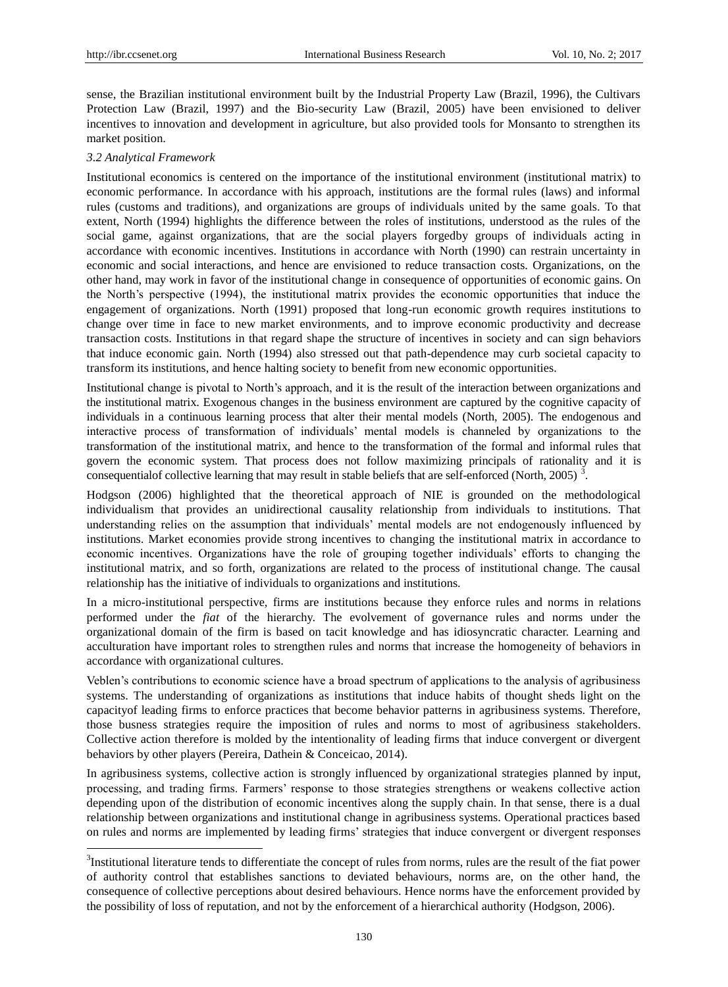sense, the Brazilian institutional environment built by the Industrial Property Law (Brazil, 1996), the Cultivars Protection Law (Brazil, 1997) and the Bio-security Law (Brazil, 2005) have been envisioned to deliver incentives to innovation and development in agriculture, but also provided tools for Monsanto to strengthen its market position.

## *3.2 Analytical Framework*

l

Institutional economics is centered on the importance of the institutional environment (institutional matrix) to economic performance. In accordance with his approach, institutions are the formal rules (laws) and informal rules (customs and traditions), and organizations are groups of individuals united by the same goals. To that extent, North (1994) highlights the difference between the roles of institutions, understood as the rules of the social game, against organizations, that are the social players forgedby groups of individuals acting in accordance with economic incentives. Institutions in accordance with North (1990) can restrain uncertainty in economic and social interactions, and hence are envisioned to reduce transaction costs. Organizations, on the other hand, may work in favor of the institutional change in consequence of opportunities of economic gains. On the North"s perspective (1994), the institutional matrix provides the economic opportunities that induce the engagement of organizations. North (1991) proposed that long-run economic growth requires institutions to change over time in face to new market environments, and to improve economic productivity and decrease transaction costs. Institutions in that regard shape the structure of incentives in society and can sign behaviors that induce economic gain. North (1994) also stressed out that path-dependence may curb societal capacity to transform its institutions, and hence halting society to benefit from new economic opportunities.

Institutional change is pivotal to North"s approach, and it is the result of the interaction between organizations and the institutional matrix. Exogenous changes in the business environment are captured by the cognitive capacity of individuals in a continuous learning process that alter their mental models (North, 2005). The endogenous and interactive process of transformation of individuals" mental models is channeled by organizations to the transformation of the institutional matrix, and hence to the transformation of the formal and informal rules that govern the economic system. That process does not follow maximizing principals of rationality and it is consequentialof collective learning that may result in stable beliefs that are self-enforced (North, 2005)<sup>3</sup>.

Hodgson (2006) highlighted that the theoretical approach of NIE is grounded on the methodological individualism that provides an unidirectional causality relationship from individuals to institutions. That understanding relies on the assumption that individuals" mental models are not endogenously influenced by institutions. Market economies provide strong incentives to changing the institutional matrix in accordance to economic incentives. Organizations have the role of grouping together individuals" efforts to changing the institutional matrix, and so forth, organizations are related to the process of institutional change. The causal relationship has the initiative of individuals to organizations and institutions.

In a micro-institutional perspective, firms are institutions because they enforce rules and norms in relations performed under the *fiat* of the hierarchy. The evolvement of governance rules and norms under the organizational domain of the firm is based on tacit knowledge and has idiosyncratic character. Learning and acculturation have important roles to strengthen rules and norms that increase the homogeneity of behaviors in accordance with organizational cultures.

Veblen"s contributions to economic science have a broad spectrum of applications to the analysis of agribusiness systems. The understanding of organizations as institutions that induce habits of thought sheds light on the capacityof leading firms to enforce practices that become behavior patterns in agribusiness systems. Therefore, those busness strategies require the imposition of rules and norms to most of agribusiness stakeholders. Collective action therefore is molded by the intentionality of leading firms that induce convergent or divergent behaviors by other players (Pereira, Dathein & Conceicao, 2014).

In agribusiness systems, collective action is strongly influenced by organizational strategies planned by input, processing, and trading firms. Farmers" response to those strategies strengthens or weakens collective action depending upon of the distribution of economic incentives along the supply chain. In that sense, there is a dual relationship between organizations and institutional change in agribusiness systems. Operational practices based on rules and norms are implemented by leading firms" strategies that induce convergent or divergent responses

 $3$ Institutional literature tends to differentiate the concept of rules from norms, rules are the result of the fiat power of authority control that establishes sanctions to deviated behaviours, norms are, on the other hand, the consequence of collective perceptions about desired behaviours. Hence norms have the enforcement provided by the possibility of loss of reputation, and not by the enforcement of a hierarchical authority (Hodgson, 2006).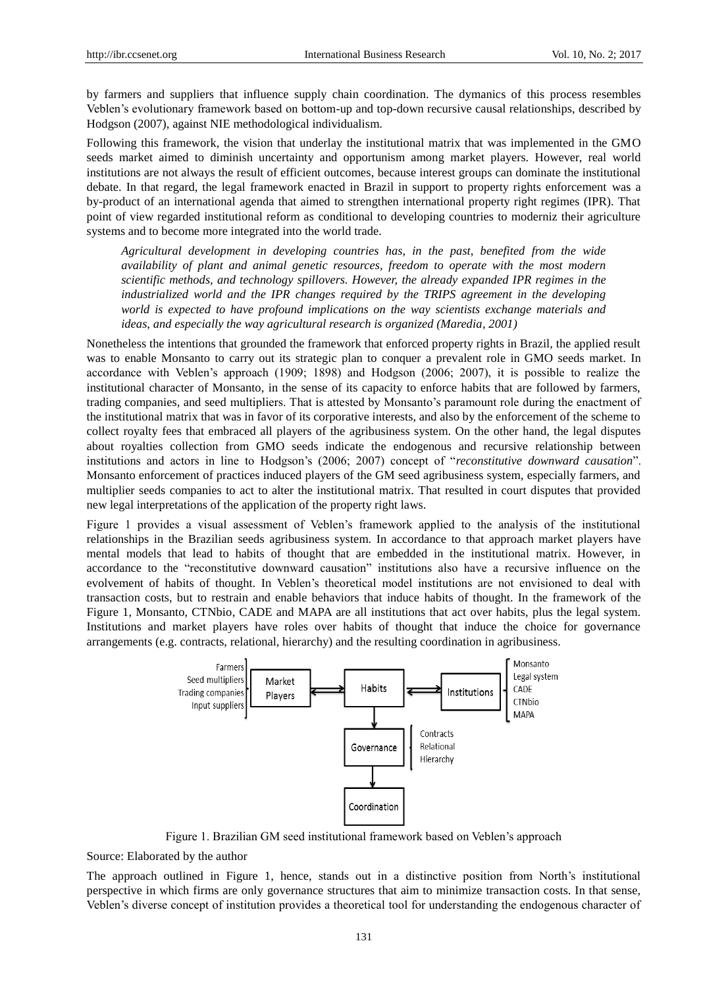by farmers and suppliers that influence supply chain coordination. The dymanics of this process resembles Veblen"s evolutionary framework based on bottom-up and top-down recursive causal relationships, described by Hodgson (2007), against NIE methodological individualism.

Following this framework, the vision that underlay the institutional matrix that was implemented in the GMO seeds market aimed to diminish uncertainty and opportunism among market players. However, real world institutions are not always the result of efficient outcomes, because interest groups can dominate the institutional debate. In that regard, the legal framework enacted in Brazil in support to property rights enforcement was a by-product of an international agenda that aimed to strengthen international property right regimes (IPR). That point of view regarded institutional reform as conditional to developing countries to moderniz their agriculture systems and to become more integrated into the world trade.

*Agricultural development in developing countries has, in the past, benefited from the wide availability of plant and animal genetic resources, freedom to operate with the most modern scientific methods, and technology spillovers. However, the already expanded IPR regimes in the industrialized world and the IPR changes required by the TRIPS agreement in the developing world is expected to have profound implications on the way scientists exchange materials and ideas, and especially the way agricultural research is organized (Maredia, 2001)*

Nonetheless the intentions that grounded the framework that enforced property rights in Brazil, the applied result was to enable Monsanto to carry out its strategic plan to conquer a prevalent role in GMO seeds market. In accordance with Veblen"s approach (1909; 1898) and Hodgson (2006; 2007), it is possible to realize the institutional character of Monsanto, in the sense of its capacity to enforce habits that are followed by farmers, trading companies, and seed multipliers. That is attested by Monsanto"s paramount role during the enactment of the institutional matrix that was in favor of its corporative interests, and also by the enforcement of the scheme to collect royalty fees that embraced all players of the agribusiness system. On the other hand, the legal disputes about royalties collection from GMO seeds indicate the endogenous and recursive relationship between institutions and actors in line to Hodgson"s (2006; 2007) concept of "*reconstitutive downward causation*". Monsanto enforcement of practices induced players of the GM seed agribusiness system, especially farmers, and multiplier seeds companies to act to alter the institutional matrix. That resulted in court disputes that provided new legal interpretations of the application of the property right laws.

Figure 1 provides a visual assessment of Veblen"s framework applied to the analysis of the institutional relationships in the Brazilian seeds agribusiness system. In accordance to that approach market players have mental models that lead to habits of thought that are embedded in the institutional matrix. However, in accordance to the "reconstitutive downward causation" institutions also have a recursive influence on the evolvement of habits of thought. In Veblen"s theoretical model institutions are not envisioned to deal with transaction costs, but to restrain and enable behaviors that induce habits of thought. In the framework of the Figure 1, Monsanto, CTNbio, CADE and MAPA are all institutions that act over habits, plus the legal system. Institutions and market players have roles over habits of thought that induce the choice for governance arrangements (e.g. contracts, relational, hierarchy) and the resulting coordination in agribusiness.



Figure 1. Brazilian GM seed institutional framework based on Veblen"s approach

Source: Elaborated by the author

The approach outlined in Figure 1, hence, stands out in a distinctive position from North's institutional perspective in which firms are only governance structures that aim to minimize transaction costs. In that sense, Veblen"s diverse concept of institution provides a theoretical tool for understanding the endogenous character of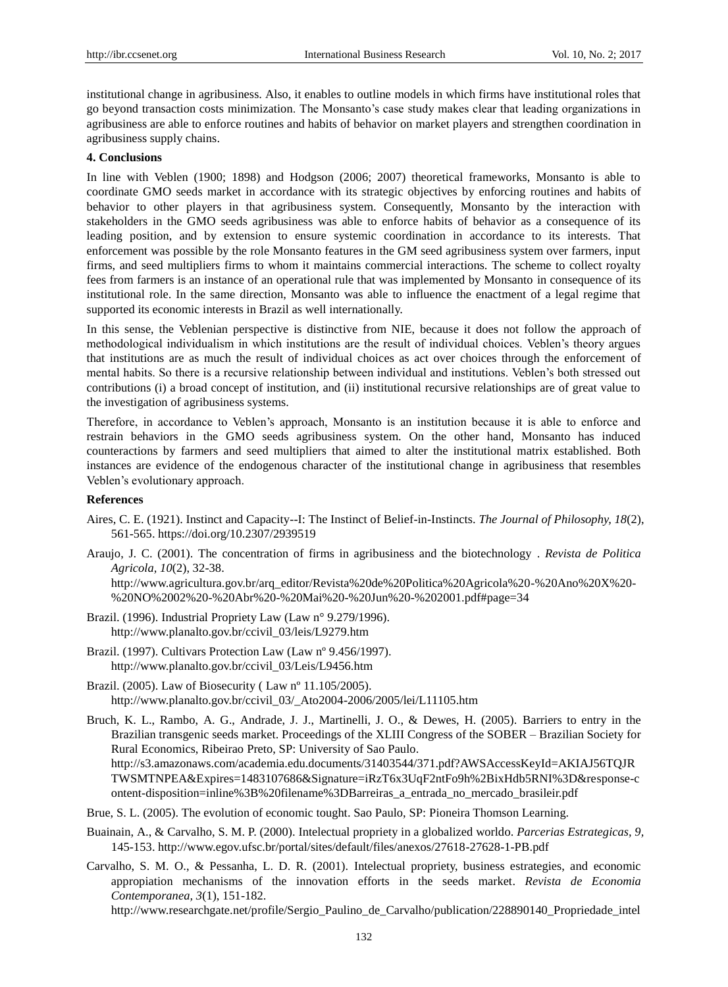institutional change in agribusiness. Also, it enables to outline models in which firms have institutional roles that go beyond transaction costs minimization. The Monsanto"s case study makes clear that leading organizations in agribusiness are able to enforce routines and habits of behavior on market players and strengthen coordination in agribusiness supply chains.

## **4. Conclusions**

In line with Veblen (1900; 1898) and Hodgson (2006; 2007) theoretical frameworks, Monsanto is able to coordinate GMO seeds market in accordance with its strategic objectives by enforcing routines and habits of behavior to other players in that agribusiness system. Consequently, Monsanto by the interaction with stakeholders in the GMO seeds agribusiness was able to enforce habits of behavior as a consequence of its leading position, and by extension to ensure systemic coordination in accordance to its interests. That enforcement was possible by the role Monsanto features in the GM seed agribusiness system over farmers, input firms, and seed multipliers firms to whom it maintains commercial interactions. The scheme to collect royalty fees from farmers is an instance of an operational rule that was implemented by Monsanto in consequence of its institutional role. In the same direction, Monsanto was able to influence the enactment of a legal regime that supported its economic interests in Brazil as well internationally.

In this sense, the Veblenian perspective is distinctive from NIE, because it does not follow the approach of methodological individualism in which institutions are the result of individual choices. Veblen"s theory argues that institutions are as much the result of individual choices as act over choices through the enforcement of mental habits. So there is a recursive relationship between individual and institutions. Veblen"s both stressed out contributions (i) a broad concept of institution, and (ii) institutional recursive relationships are of great value to the investigation of agribusiness systems.

Therefore, in accordance to Veblen"s approach, Monsanto is an institution because it is able to enforce and restrain behaviors in the GMO seeds agribusiness system. On the other hand, Monsanto has induced counteractions by farmers and seed multipliers that aimed to alter the institutional matrix established. Both instances are evidence of the endogenous character of the institutional change in agribusiness that resembles Veblen"s evolutionary approach.

## **References**

- Aires, C. E. (1921). Instinct and Capacity--I: The Instinct of Belief-in-Instincts. *The Journal of Philosophy, 18*(2), 561-565. https://doi.org/10.2307/2939519
- Araujo, J. C. (2001). The concentration of firms in agribusiness and the biotechnology . *Revista de Politica Agricola, 10*(2), 32-38.

http://www.agricultura.gov.br/arq\_editor/Revista%20de%20Politica%20Agricola%20-%20Ano%20X%20- %20NO%2002%20-%20Abr%20-%20Mai%20-%20Jun%20-%202001.pdf#page=34

- Brazil. (1996). Industrial Propriety Law (Law n°9.279/1996). http://www.planalto.gov.br/ccivil\_03/leis/L9279.htm
- Brazil. (1997). Cultivars Protection Law (Law n °9.456/1997). http://www.planalto.gov.br/ccivil\_03/Leis/L9456.htm
- Brazil. (2005). Law of Biosecurity ( Law nº 11.105/2005). http://www.planalto.gov.br/ccivil\_03/\_Ato2004-2006/2005/lei/L11105.htm
- Bruch, K. L., Rambo, A. G., Andrade, J. J., Martinelli, J. O., & Dewes, H. (2005). Barriers to entry in the Brazilian transgenic seeds market. Proceedings of the XLIII Congress of the SOBER – Brazilian Society for Rural Economics, Ribeirao Preto, SP: University of Sao Paulo. http://s3.amazonaws.com/academia.edu.documents/31403544/371.pdf?AWSAccessKeyId=AKIAJ56TQJR TWSMTNPEA&Expires=1483107686&Signature=iRzT6x3UqF2ntFo9h%2BixHdb5RNI%3D&response-c ontent-disposition=inline%3B%20filename%3DBarreiras\_a\_entrada\_no\_mercado\_brasileir.pdf
- Brue, S. L. (2005). The evolution of economic tought. Sao Paulo, SP: Pioneira Thomson Learning.
- Buainain, A., & Carvalho, S. M. P. (2000). Intelectual propriety in a globalized worldo. *Parcerias Estrategicas, 9,*  145-153. http://www.egov.ufsc.br/portal/sites/default/files/anexos/27618-27628-1-PB.pdf
- Carvalho, S. M. O., & Pessanha, L. D. R. (2001). Intelectual propriety, business estrategies, and economic appropiation mechanisms of the innovation efforts in the seeds market. *Revista de Economia Contemporanea, 3*(1), 151-182.

http://www.researchgate.net/profile/Sergio\_Paulino\_de\_Carvalho/publication/228890140\_Propriedade\_intel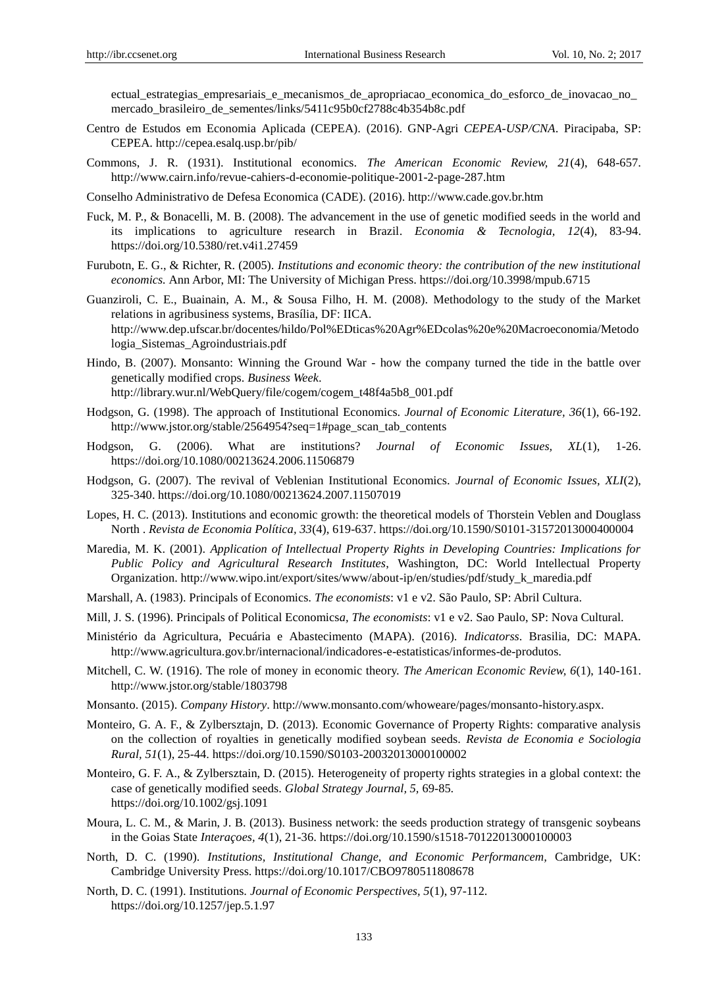ectual estrategias empresariais e mecanismos de apropriacao economica do esforco de inovacao no mercado\_brasileiro\_de\_sementes/links/5411c95b0cf2788c4b354b8c.pdf

- Centro de Estudos em Economia Aplicada (CEPEA). (2016). GNP-Agri *CEPEA-USP/CNA*. Piracipaba, SP: CEPEA. http://cepea.esalq.usp.br/pib/
- Commons, J. R. (1931). Institutional economics. *The American Economic Review, 21*(4), 648-657. http://www.cairn.info/revue-cahiers-d-economie-politique-2001-2-page-287.htm
- Conselho Administrativo de Defesa Economica (CADE). (2016). http://www.cade.gov.br.htm
- Fuck, M. P., & Bonacelli, M. B. (2008). The advancement in the use of genetic modified seeds in the world and its implications to agriculture research in Brazil. *Economia & Tecnologia, 12*(4), 83-94. https://doi.org/10.5380/ret.v4i1.27459
- Furubotn, E. G., & Richter, R. (2005). *Institutions and economic theory: the contribution of the new institutional economics.* Ann Arbor, MI: The University of Michigan Press. https://doi.org/10.3998/mpub.6715
- Guanziroli, C. E., Buainain, A. M., & Sousa Filho, H. M. (2008). Methodology to the study of the Market relations in agribusiness systems, Bras Iia, DF: IICA. http://www.dep.ufscar.br/docentes/hildo/Pol%EDticas%20Agr%EDcolas%20e%20Macroeconomia/Metodo logia\_Sistemas\_Agroindustriais.pdf
- Hindo, B. (2007). Monsanto: Winning the Ground War how the company turned the tide in the battle over genetically modified crops. *Business Week*. http://library.wur.nl/WebQuery/file/cogem/cogem\_t48f4a5b8\_001.pdf
- Hodgson, G. (1998). The approach of Institutional Economics. *Journal of Economic Literature, 36*(1), 66-192. http://www.jstor.org/stable/2564954?seq=1#page\_scan\_tab\_contents
- Hodgson, G. (2006). What are institutions? *Journal of Economic Issues, XL*(1), 1-26. https://doi.org/10.1080/00213624.2006.11506879
- Hodgson, G. (2007). The revival of Veblenian Institutional Economics. *Journal of Economic Issues, XLI*(2), 325-340. https://doi.org/10.1080/00213624.2007.11507019
- Lopes, H. C. (2013). Institutions and economic growth: the theoretical models of Thorstein Veblen and Douglass North . *Revista de Economia Política, 33*(4), 619-637. https://doi.org/10.1590/S0101-31572013000400004
- Maredia, M. K. (2001). *Application of Intellectual Property Rights in Developing Countries: Implications for Public Policy and Agricultural Research Institutes*, Washington, DC: World Intellectual Property Organization. http://www.wipo.int/export/sites/www/about-ip/en/studies/pdf/study\_k\_maredia.pdf
- Marshall, A. (1983). Principals of Economics*. The economists*: v1 e v2. São Paulo, SP: Abril Cultura.
- Mill, J. S. (1996). Principals of Political Economics*a, The economists*: v1 e v2. Sao Paulo, SP: Nova Cultural.
- Ministério da Agricultura, Pecuária e Abastecimento (MAPA). (2016). *Indicatorss*. Brasilia, DC: MAPA. http://www.agricultura.gov.br/internacional/indicadores-e-estatisticas/informes-de-produtos.
- Mitchell, C. W. (1916). The role of money in economic theory. *The American Economic Review, 6*(1), 140-161. http://www.jstor.org/stable/1803798
- Monsanto. (2015). *Company History*. http://www.monsanto.com/whoweare/pages/monsanto-history.aspx.
- Monteiro, G. A. F., & Zylbersztajn, D. (2013). Economic Governance of Property Rights: comparative analysis on the collection of royalties in genetically modified soybean seeds. *Revista de Economia e Sociologia Rural, 51*(1), 25-44. https://doi.org/10.1590/S0103-20032013000100002
- Monteiro, G. F. A., & Zylbersztain, D. (2015). Heterogeneity of property rights strategies in a global context: the case of genetically modified seeds. *Global Strategy Journal, 5,* 69-85. https://doi.org/10.1002/gsj.1091
- Moura, L. C. M., & Marin, J. B. (2013). Business network: the seeds production strategy of transgenic soybeans in the Goias State *Interaçoes, 4*(1), 21-36[. https://doi.org/10.1590/s1518-70122013000100003](https://doi.org/10.1590/s1518-70122013000100003)
- North, D. C. (1990). *Institutions, Institutional Change, and Economic Performancem,* Cambridge, UK: Cambridge University Press. https://doi.org/10.1017/CBO9780511808678
- North, D. C. (1991). Institutions. *Journal of Economic Perspectives, 5*(1), 97-112. https://doi.org/10.1257/jep.5.1.97